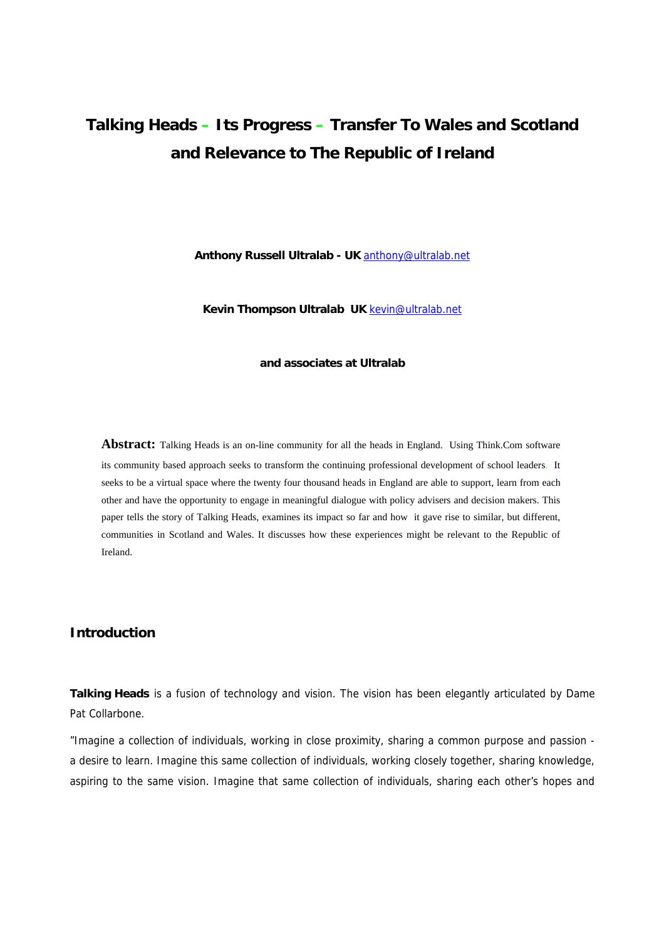# **Talking Heads – Its Progress – Transfer To Wales and Scotland and Relevance to The Republic of Ireland**

**Anthony Russell Ultralab - UK** anthony@ultralab.net

**Kevin Thompson Ultralab UK** kevin@ultralab.net

#### **and associates at Ultralab**

**Abstract:** Talking Heads is an on-line community for all the heads in England. Using Think.Com software its community based approach seeks to transform the continuing professional development of school leaders. It seeks to be a virtual space where the twenty four thousand heads in England are able to support, learn from each other and have the opportunity to engage in meaningful dialogue with policy advisers and decision makers. This paper tells the story of Talking Heads, examines its impact so far and how it gave rise to similar, but different, communities in Scotland and Wales. It discusses how these experiences might be relevant to the Republic of Ireland.

# **Introduction**

**Talking Heads** is a fusion of technology and vision. The vision has been elegantly articulated by Dame Pat Collarbone.

*"Imagine a collection of individuals, working in close proximity, sharing a common purpose and passion a desire to learn. Imagine this same collection of individuals, working closely together, sharing knowledge, aspiring to the same vision. Imagine that same collection of individuals, sharing each other's hopes and*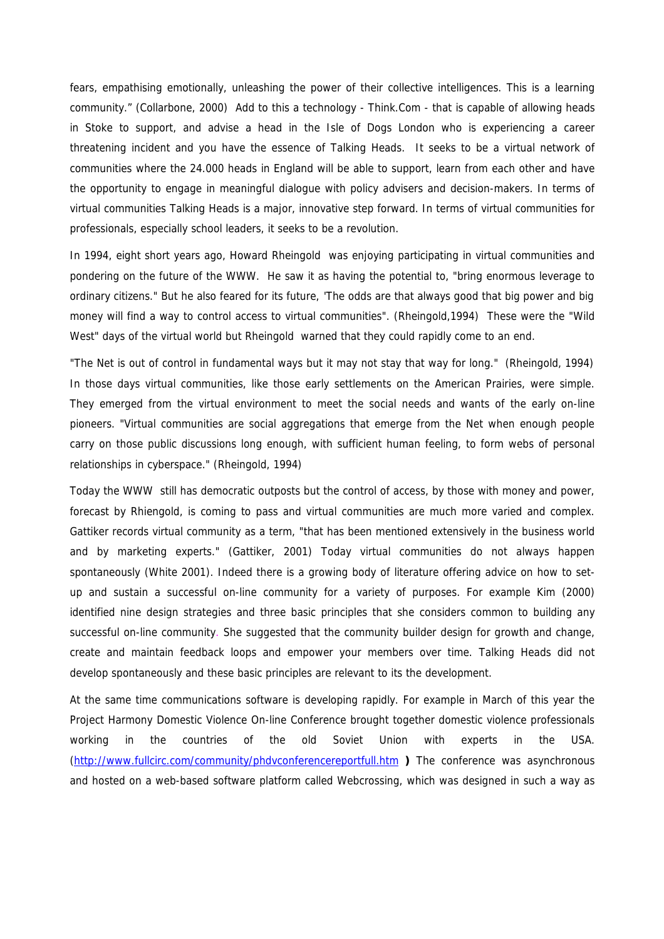*fears, empathising emotionally, unleashing the power of their collective intelligences. This is a learning community*." (Collarbone, 2000) Add to this a technology - Think.Com - that is capable of allowing heads in Stoke to support, and advise a head in the Isle of Dogs London who is experiencing a career threatening incident and you have the essence of Talking Heads. It seeks to be a virtual network of communities where the 24.000 heads in England will be able to support, learn from each other and have the opportunity to engage in meaningful dialogue with policy advisers and decision-makers. In terms of virtual communities Talking Heads is a major, innovative step forward. In terms of virtual communities for professionals, especially school leaders, it seeks to be a revolution.

In 1994, eight short years ago, Howard Rheingold was enjoying participating in virtual communities and pondering on the future of the WWW. He saw it as having the potential to, *"bring enormous leverage to ordinary citizens."* But he also feared for its future, *'The odds are that always good that big power and big money will find a way to control access to virtual communities".* (Rheingold,1994) These were the "Wild West" days of the virtual world but Rheingold warned that they could rapidly come to an end.

*"The Net is out of control in fundamental ways but it may not stay that way for long."* (Rheingold, 1994) In those days virtual communities, like those early settlements on the American Prairies, were simple. They emerged from the virtual environment to meet the social needs and wants of the early on-line pioneers. *"Virtual communities are social aggregations that emerge from the Net when enough people carry on those public discussions long enough, with sufficient human feeling, to form webs of personal relationships in cyberspace." (Rheingold, 1994)*

Today the WWW still has democratic outposts but the control of access, by those with money and power, forecast by Rhiengold, is coming to pass and virtual communities are much more varied and complex. Gattiker records virtual community as a term, "that has been mentioned extensively in the business world and by marketing experts." (Gattiker, 2001) Today virtual communities do not always happen spontaneously (White 2001). Indeed there is a growing body of literature offering advice on how to setup and sustain a successful on-line community for a variety of purposes. For example Kim (2000) identified nine design strategies and three basic principles that she considers common to building any successful on-line community. She suggested that the community builder design for growth and change, create and maintain feedback loops and empower your members over time. Talking Heads did not develop spontaneously and these basic principles are relevant to its the development.

At the same time communications software is developing rapidly. For example in March of this year the Project Harmony Domestic Violence On-line Conference brought together domestic violence professionals working in the countries of the old Soviet Union with experts in the USA. (http://www.fullcirc.com/community/phdvconferencereportfull.htm **)** The conference was asynchronous and hosted on a web-based software platform called Webcrossing, which was designed in such a way as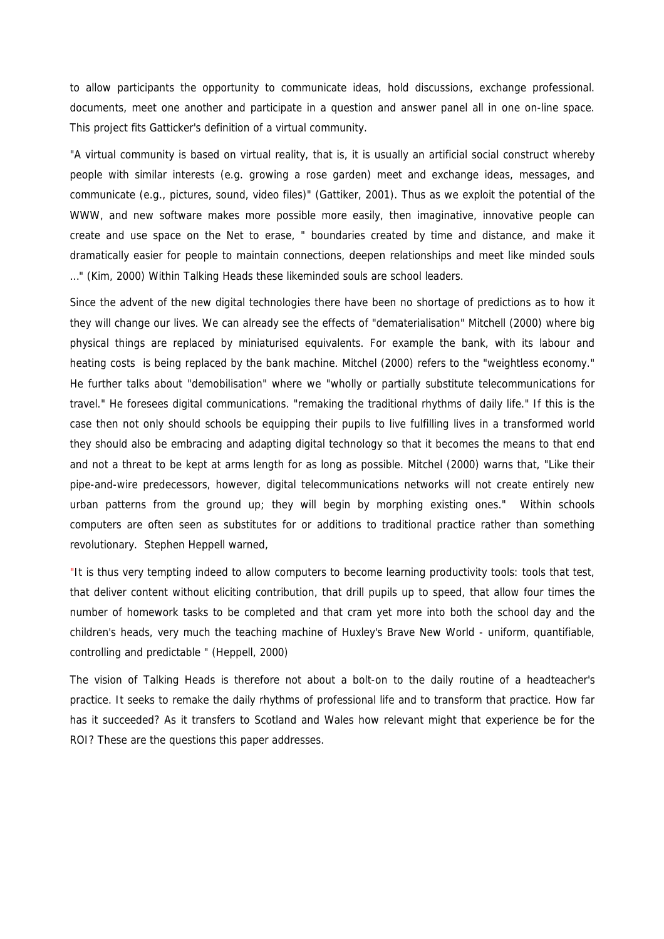to allow participants the opportunity to communicate ideas, hold discussions, exchange professional. documents, meet one another and participate in a question and answer panel all in one on-line space. This project fits Gatticker's definition of a virtual community.

*"A virtual community is based on virtual reality, that is, it is usually an artificial social construct whereby people with similar interests (e.g. growing a rose garden) meet and exchange ideas, messages, and communicate (e.g., pictures, sound, video files)"* (Gattiker, 2001). Thus as we exploit the potential of the WWW, and new software makes more possible more easily, then imaginative, innovative people can create and use space on the Net to erase, " boundaries created by time and distance, and make it dramatically easier for people to maintain connections, deepen relationships and meet like minded souls …" (Kim, 2000) Within Talking Heads these likeminded souls are school leaders.

Since the advent of the new digital technologies there have been no shortage of predictions as to how it they will change our lives. We can already see the effects of "dematerialisation" Mitchell (2000) where big physical things are replaced by miniaturised equivalents. For example the bank, with its labour and heating costs is being replaced by the bank machine. Mitchel (2000) refers to the "weightless economy." He further talks about "demobilisation" where we "wholly or partially substitute telecommunications for travel." He foresees digital communications. "remaking the traditional rhythms of daily life." If this is the case then not only should schools be equipping their pupils to live fulfilling lives in a transformed world they should also be embracing and adapting digital technology so that it becomes the means to that end and not a threat to be kept at arms length for as long as possible. Mitchel (2000) warns that, "Like their pipe-and-wire predecessors, however, digital telecommunications networks will not create entirely new urban patterns from the ground up; they will begin by morphing existing ones." Within schools computers are often seen as substitutes for or additions to traditional practice rather than something revolutionary. Stephen Heppell warned,

*"It is thus very tempting indeed to allow computers to become learning productivity tools: tools that test, that deliver content without eliciting contribution, that drill pupils up to speed, that allow four times the number of homework tasks to be completed and that cram yet more into both the school day and the children's heads, very much the teaching machine of Huxley's Brave New World - uniform, quantifiable, controlling and predictable* " (Heppell, 2000)

The vision of Talking Heads is therefore not about a bolt-on to the daily routine of a headteacher's practice. It seeks to remake the daily rhythms of professional life and to transform that practice. How far has it succeeded? As it transfers to Scotland and Wales how relevant might that experience be for the ROI? These are the questions this paper addresses.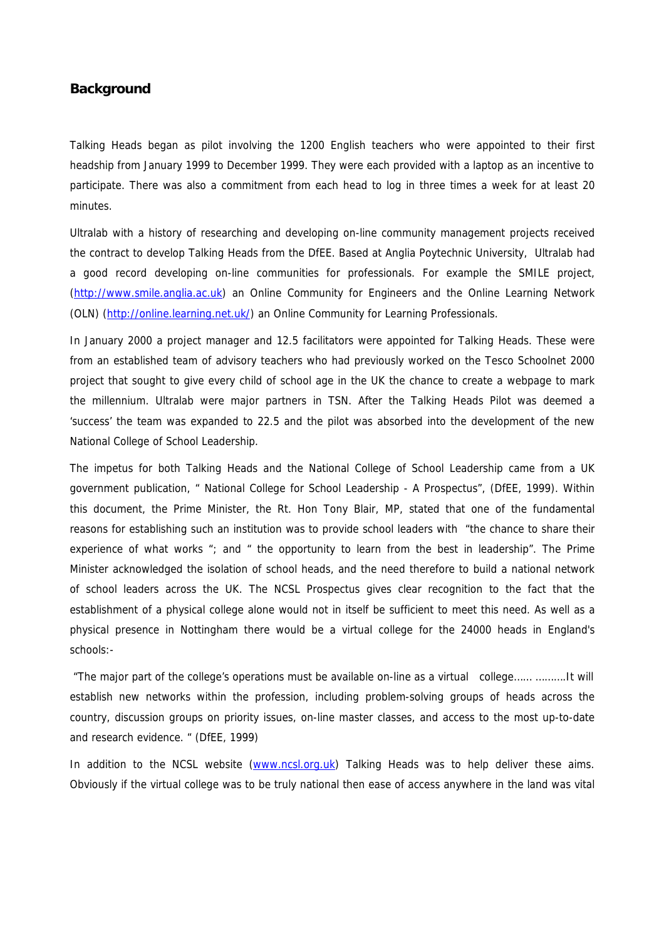# **Background**

Talking Heads began as pilot involving the 1200 English teachers who were appointed to their first headship from January 1999 to December 1999. They were each provided with a laptop as an incentive to participate. There was also a commitment from each head to log in three times a week for at least 20 minutes.

Ultralab with a history of researching and developing on-line community management projects received the contract to develop Talking Heads from the DfEE. Based at Anglia Poytechnic University, Ultralab had a good record developing on-line communities for professionals. For example the SMILE project, (http://www.smile.anglia.ac.uk) an Online Community for Engineers and the Online Learning Network (OLN) (http://online.learning.net.uk/) an Online Community for Learning Professionals.

In January 2000 a project manager and 12.5 facilitators were appointed for Talking Heads. These were from an established team of advisory teachers who had previously worked on the Tesco Schoolnet 2000 project that sought to give every child of school age in the UK the chance to create a webpage to mark the millennium. Ultralab were major partners in TSN. After the Talking Heads Pilot was deemed a 'success' the team was expanded to 22.5 and the pilot was absorbed into the development of the new National College of School Leadership.

The impetus for both Talking Heads and the National College of School Leadership came from a UK government publication, " National College for School Leadership - A Prospectus", (DfEE, 1999). Within this document, the Prime Minister, the Rt. Hon Tony Blair, MP, stated that one of the fundamental reasons for establishing such an institution was to provide school leaders with "*the chance to share their experience of what works* "; and " *the opportunity to learn from the best in leadership*". The Prime Minister acknowledged the isolation of school heads, and the need therefore to build a national network of school leaders across the UK. The NCSL Prospectus gives clear recognition to the fact that the establishment of a physical college alone would not in itself be sufficient to meet this need. As well as a physical presence in Nottingham there would be a virtual college for the 24000 heads in England's schools:-

 "*The major part of the college's operations must be available on-line as a virtual college…… ……….It will establish new networks within the profession, including problem-solving groups of heads across the country, discussion groups on priority issues, on-line master classes, and access to the most up-to-date and research evidence*. " (DfEE, 1999)

In addition to the NCSL website (www.ncsl.org.uk) Talking Heads was to help deliver these aims. Obviously if the virtual college was to be truly national then ease of access anywhere in the land was vital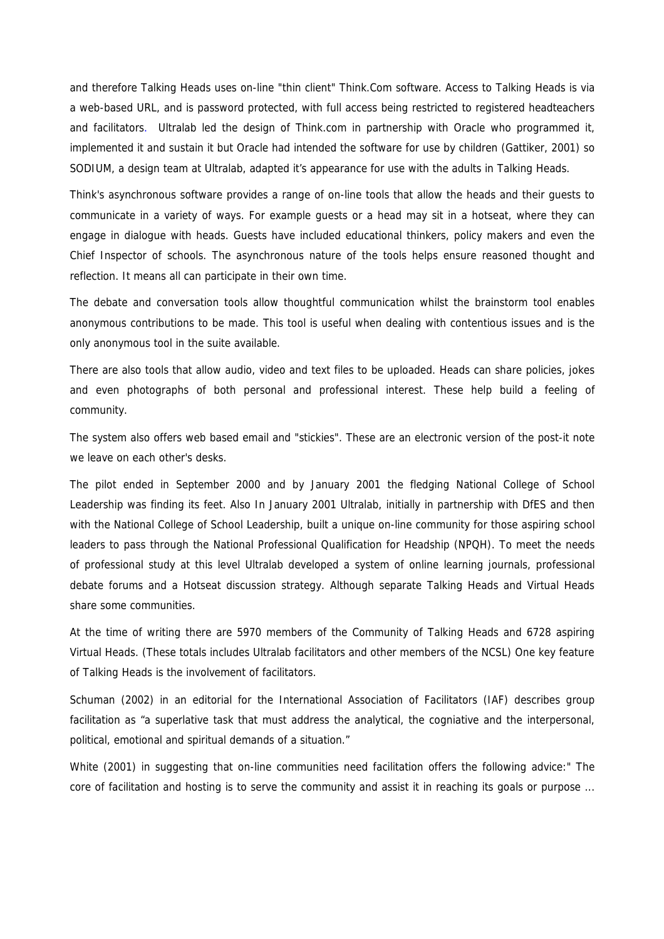and therefore Talking Heads uses on-line "thin client" Think.Com software. Access to Talking Heads is via a web-based URL, and is password protected, with full access being restricted to registered headteachers and facilitators. Ultralab led the design of Think.com in partnership with Oracle who programmed it, implemented it and sustain it but Oracle had intended the software for use by children (Gattiker, 2001) so SODIUM, a design team at Ultralab, adapted it's appearance for use with the adults in Talking Heads.

Think's asynchronous software provides a range of on-line tools that allow the heads and their guests to communicate in a variety of ways. For example guests or a head may sit in a hotseat, where they can engage in dialogue with heads. Guests have included educational thinkers, policy makers and even the Chief Inspector of schools. The asynchronous nature of the tools helps ensure reasoned thought and reflection. It means all can participate in their own time.

The debate and conversation tools allow thoughtful communication whilst the brainstorm tool enables anonymous contributions to be made. This tool is useful when dealing with contentious issues and is the only anonymous tool in the suite available.

There are also tools that allow audio, video and text files to be uploaded. Heads can share policies, jokes and even photographs of both personal and professional interest. These help build a feeling of community.

The system also offers web based email and "stickies". These are an electronic version of the post-it note we leave on each other's desks.

The pilot ended in September 2000 and by January 2001 the fledging National College of School Leadership was finding its feet. Also In January 2001 Ultralab, initially in partnership with DfES and then with the National College of School Leadership, built a unique on-line community for those aspiring school leaders to pass through the National Professional Qualification for Headship (NPQH). To meet the needs of professional study at this level Ultralab developed a system of online learning journals, professional debate forums and a Hotseat discussion strategy. Although separate Talking Heads and Virtual Heads share some communities.

At the time of writing there are 5970 members of the Community of Talking Heads and 6728 aspiring Virtual Heads. (These totals includes Ultralab facilitators and other members of the NCSL) One key feature of Talking Heads is the involvement of facilitators.

Schuman (2002) in an editorial for the International Association of Facilitators (IAF) describes group facilitation as "*a superlative task that must address the analytical, the cogniative and the interpersonal, political, emotional and spiritual demands of a situation*."

White (2001) in suggesting that on-line communities need facilitation offers the following advice:" *The core of facilitation and hosting is to serve the community and assist it in reaching its goals or purpose ...*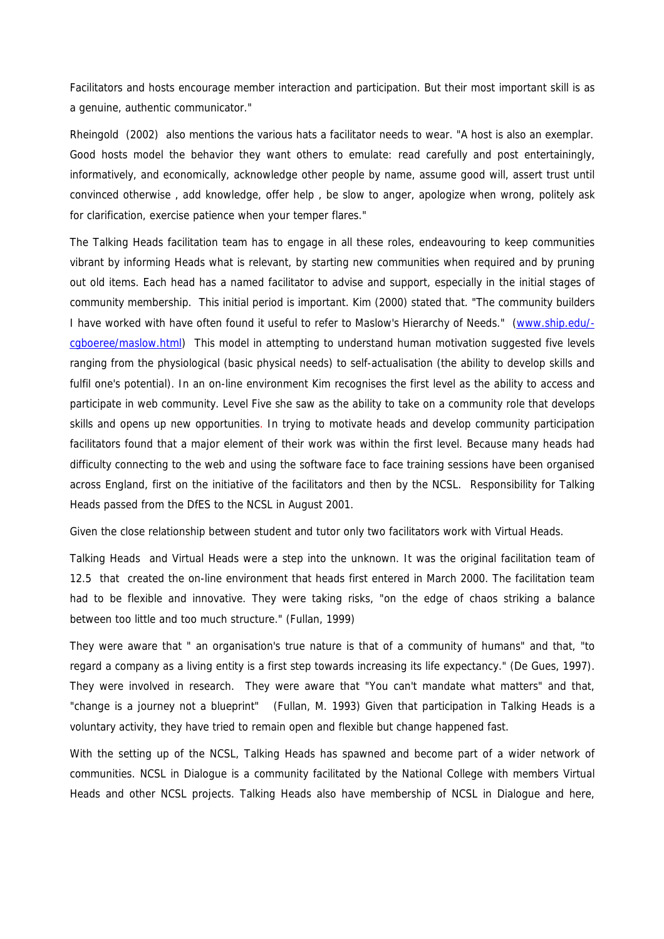*Facilitators and hosts encourage member interaction and participation. But their most important skill is as a genuine, authentic communicator."*

Rheingold (2002) also mentions the various hats a facilitator needs to wear*. "A host is also an exemplar. Good hosts model the behavior they want others to emulate: read carefully and post entertainingly, informatively, and economically, acknowledge other people by name, assume good will, assert trust until convinced otherwise , add knowledge, offer help , be slow to anger, apologize when wrong, politely ask for clarification, exercise patience when your temper flares."*

The Talking Heads facilitation team has to engage in all these roles, endeavouring to keep communities vibrant by informing Heads what is relevant, by starting new communities when required and by pruning out old items. Each head has a named facilitator to advise and support, especially in the initial stages of community membership. This initial period is important. Kim (2000) stated that. "The community builders I have worked with have often found it useful to refer to Maslow's Hierarchy of Needs." (www.ship.edu/ cgboeree/maslow.html) This model in attempting to understand human motivation suggested five levels ranging from the physiological (basic physical needs) to self-actualisation (the ability to develop skills and fulfil one's potential). In an on-line environment Kim recognises the first level as the ability to access and participate in web community. Level Five she saw as the ability to take on a community role that develops skills and opens up new opportunities. In trying to motivate heads and develop community participation facilitators found that a major element of their work was within the first level. Because many heads had difficulty connecting to the web and using the software face to face training sessions have been organised across England, first on the initiative of the facilitators and then by the NCSL. Responsibility for Talking Heads passed from the DfES to the NCSL in August 2001.

Given the close relationship between student and tutor only two facilitators work with Virtual Heads.

Talking Heads and Virtual Heads were a step into the unknown. It was the original facilitation team of 12.5 that created the on-line environment that heads first entered in March 2000. The facilitation team had to be flexible and innovative. They were taking risks, "on the edge of chaos striking a balance between too little and too much structure." (Fullan, 1999)

They were aware that " an organisation's true nature is that of a community of humans" and that, "to regard a company as a living entity is a first step towards increasing its life expectancy." (De Gues, 1997). They were involved in research. They were aware that "You can't mandate what matters" and that, "change is a journey not a blueprint" (Fullan, M. 1993) Given that participation in Talking Heads is a voluntary activity, they have tried to remain open and flexible but change happened fast.

With the setting up of the NCSL, Talking Heads has spawned and become part of a wider network of communities. NCSL in Dialogue is a community facilitated by the National College with members Virtual Heads and other NCSL projects. Talking Heads also have membership of NCSL in Dialogue and here,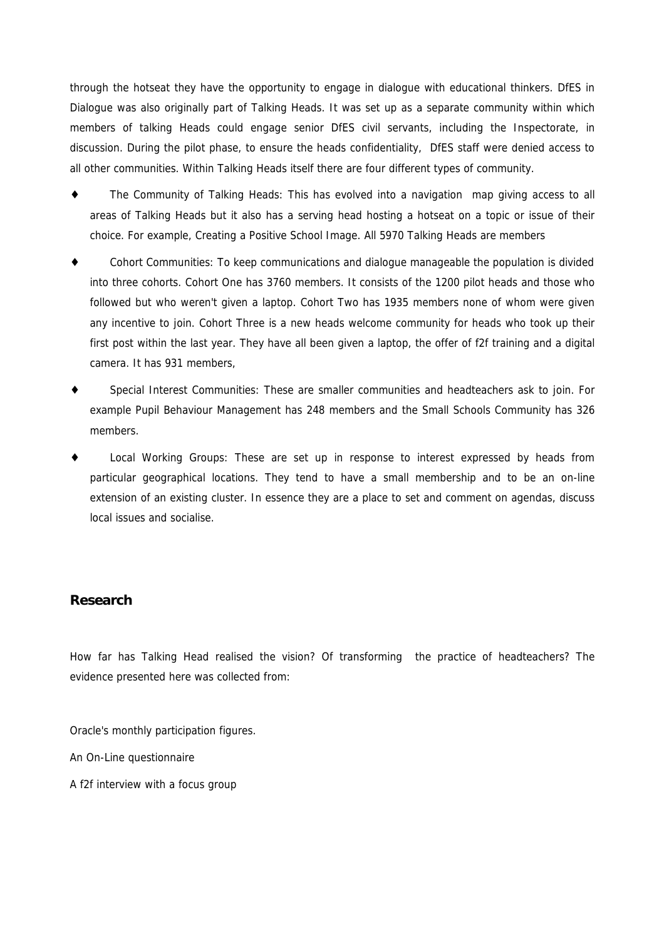through the hotseat they have the opportunity to engage in dialogue with educational thinkers. DfES in Dialogue was also originally part of Talking Heads. It was set up as a separate community within which members of talking Heads could engage senior DfES civil servants, including the Inspectorate, in discussion. During the pilot phase, to ensure the heads confidentiality, DfES staff were denied access to all other communities. Within Talking Heads itself there are four different types of community.

The Community of Talking Heads: This has evolved into a navigation map giving access to all areas of Talking Heads but it also has a serving head hosting a hotseat on a topic or issue of their choice. For example, Creating a Positive School Image. All 5970 Talking Heads are members

Cohort Communities: To keep communications and dialogue manageable the population is divided into three cohorts. Cohort One has 3760 members. It consists of the 1200 pilot heads and those who followed but who weren't given a laptop. Cohort Two has 1935 members none of whom were given any incentive to join. Cohort Three is a new heads welcome community for heads who took up their first post within the last year. They have all been given a laptop, the offer of f2f training and a digital camera. It has 931 members,

Special Interest Communities: These are smaller communities and headteachers ask to join. For example Pupil Behaviour Management has 248 members and the Small Schools Community has 326 members.

Local Working Groups: These are set up in response to interest expressed by heads from particular geographical locations. They tend to have a small membership and to be an on-line extension of an existing cluster. In essence they are a place to set and comment on agendas, discuss local issues and socialise.

# **Research**

How far has Talking Head realised the vision? Of transforming the practice of headteachers? The evidence presented here was collected from:

Oracle's monthly participation figures.

An On-Line questionnaire

A f2f interview with a focus group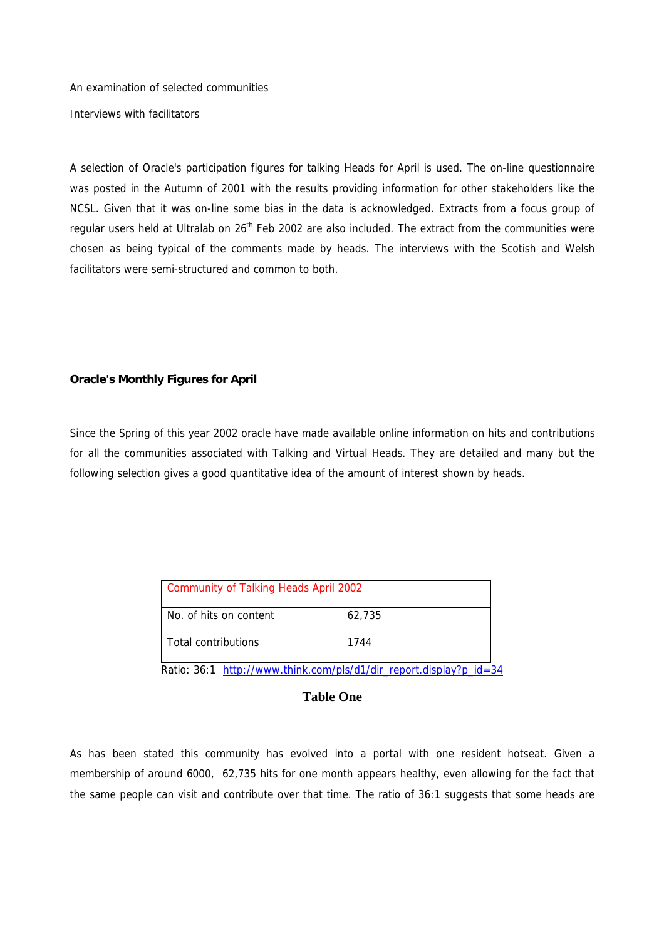An examination of selected communities Interviews with facilitators

A selection of Oracle's participation figures for talking Heads for April is used. The on-line questionnaire was posted in the Autumn of 2001 with the results providing information for other stakeholders like the NCSL. Given that it was on-line some bias in the data is acknowledged. Extracts from a focus group of regular users held at Ultralab on  $26<sup>th</sup>$  Feb 2002 are also included. The extract from the communities were chosen as being typical of the comments made by heads. The interviews with the Scotish and Welsh facilitators were semi-structured and common to both.

#### **Oracle's Monthly Figures for April**

Since the Spring of this year 2002 oracle have made available online information on hits and contributions for all the communities associated with Talking and Virtual Heads. They are detailed and many but the following selection gives a good quantitative idea of the amount of interest shown by heads.

| <b>Community of Talking Heads April 2002</b>                       |        |  |  |  |  |
|--------------------------------------------------------------------|--------|--|--|--|--|
| No. of hits on content                                             | 62,735 |  |  |  |  |
| <b>Total contributions</b>                                         | 1744   |  |  |  |  |
| Ratio: 36:1 http://www.think.com/pls/d1/dir report.display?p id=34 |        |  |  |  |  |

## **Table One**

As has been stated this community has evolved into a portal with one resident hotseat. Given a membership of around 6000, 62,735 hits for one month appears healthy, even allowing for the fact that the same people can visit and contribute over that time. The ratio of 36:1 suggests that some heads are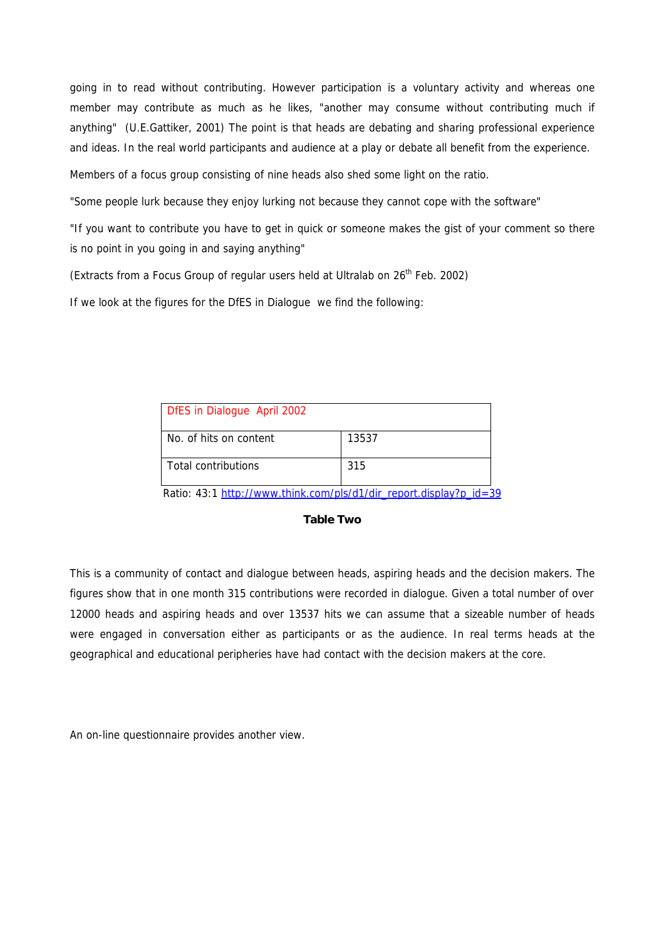going in to read without contributing. However participation is a voluntary activity and whereas one member may contribute as much as he likes, "another may consume without contributing much if anything" (U.E.Gattiker, 2001) The point is that heads are debating and sharing professional experience and ideas. In the real world participants and audience at a play or debate all benefit from the experience.

Members of a focus group consisting of nine heads also shed some light on the ratio.

"Some people lurk because they enjoy lurking not because they cannot cope with the software"

"If you want to contribute you have to get in quick or someone makes the gist of your comment so there is no point in you going in and saying anything"

(Extracts from a Focus Group of regular users held at Ultralab on  $26<sup>th</sup>$  Feb. 2002)

If we look at the figures for the DfES in Dialogue we find the following:

| DfES in Dialogue April 2002 |       |  |  |  |  |  |
|-----------------------------|-------|--|--|--|--|--|
| No. of hits on content      | 13537 |  |  |  |  |  |
| <b>Total contributions</b>  | 315   |  |  |  |  |  |

Ratio: 43:1 http://www.think.com/pls/d1/dir\_report.display?p\_id=39

### **Table Two**

This is a community of contact and dialogue between heads, aspiring heads and the decision makers. The figures show that in one month 315 contributions were recorded in dialogue. Given a total number of over 12000 heads and aspiring heads and over 13537 hits we can assume that a sizeable number of heads were engaged in conversation either as participants or as the audience. In real terms heads at the geographical and educational peripheries have had contact with the decision makers at the core.

An on-line questionnaire provides another view.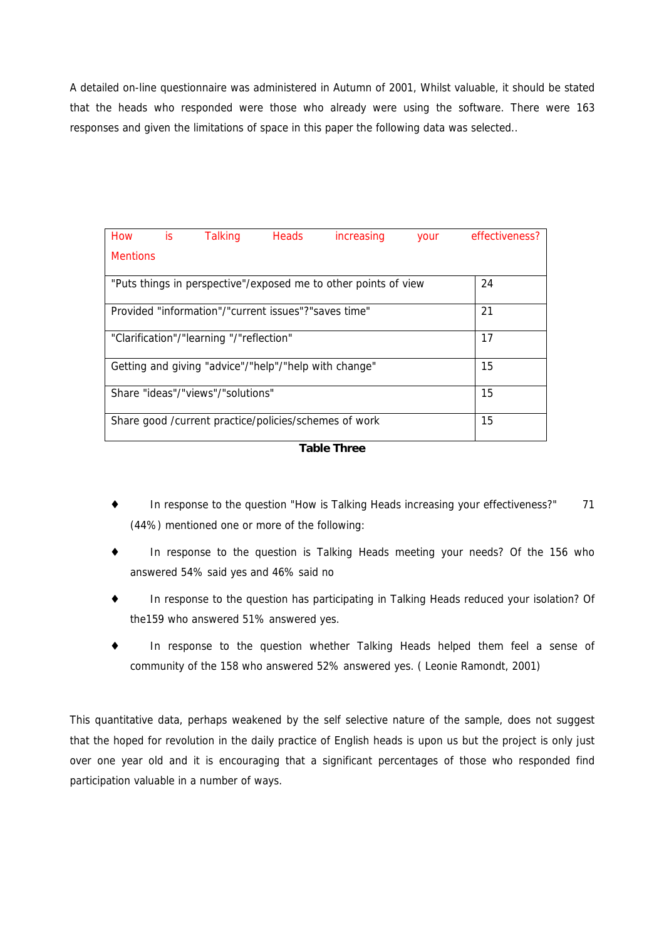A detailed on-line questionnaire was administered in Autumn of 2001, Whilst valuable, it should be stated that the heads who responded were those who already were using the software. There were 163 responses and given the limitations of space in this paper the following data was selected..

| How is                                                          |  | <b>Talking</b>                                        | Heads | <i>increasing</i> | your | effectiveness? |
|-----------------------------------------------------------------|--|-------------------------------------------------------|-------|-------------------|------|----------------|
| <b>Mentions</b>                                                 |  |                                                       |       |                   |      |                |
| "Puts things in perspective"/exposed me to other points of view |  |                                                       |       |                   |      | 24             |
| Provided "information"/"current issues"?"saves time"            |  |                                                       |       |                   |      | 21             |
|                                                                 |  | "Clarification"/"learning "/"reflection"              |       |                   |      | 17             |
|                                                                 |  | Getting and giving "advice"/"help"/"help with change" |       |                   |      | 15             |
|                                                                 |  | Share "ideas"/"views"/"solutions"                     |       |                   |      | 15             |
|                                                                 |  | Share good /current practice/policies/schemes of work |       |                   |      | 15             |

**Table Three**

In response to the question "How is Talking Heads increasing your effectiveness?" 71 (44%) mentioned one or more of the following:

In response to the question is Talking Heads meeting your needs? Of the 156 who answered 54% said yes and 46% said no

In response to the question has participating in Talking Heads reduced your isolation? Of the159 who answered 51% answered yes.

In response to the question whether Talking Heads helped them feel a sense of community of the 158 who answered 52% answered yes. ( Leonie Ramondt, 2001)

This quantitative data, perhaps weakened by the self selective nature of the sample, does not suggest that the hoped for revolution in the daily practice of English heads is upon us but the project is only just over one year old and it is encouraging that a significant percentages of those who responded find participation valuable in a number of ways.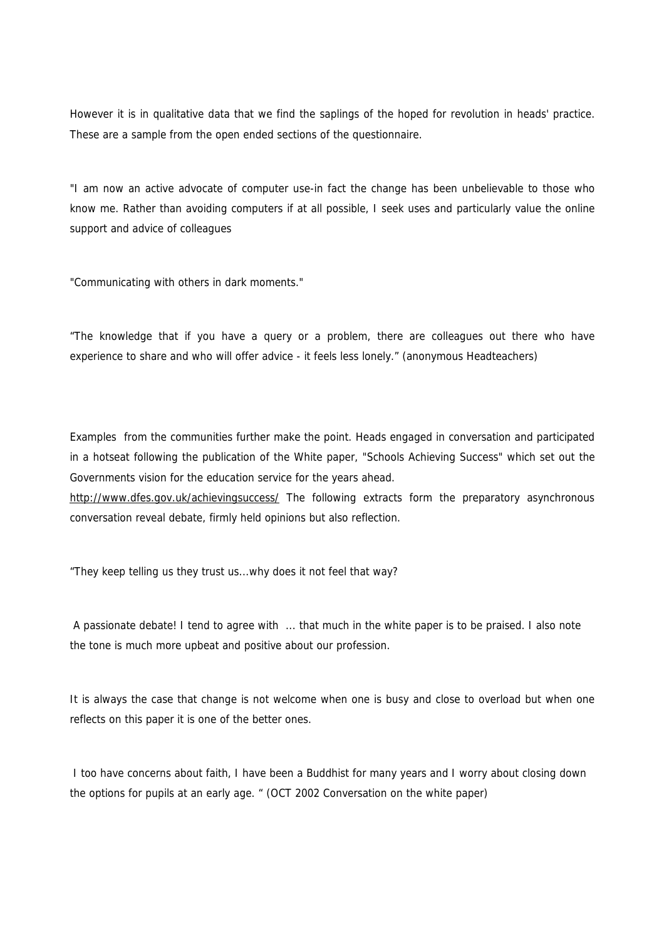However it is in qualitative data that we find the saplings of the hoped for revolution in heads' practice. These are a sample from the open ended sections of the questionnaire.

*"I am now an active advocate of computer use-in fact the change has been unbelievable to those who know me. Rather than avoiding computers if at all possible, I seek uses and particularly value the online support and advice of colleagues*

"*Communicating with others in dark moments."*

*"The knowledge that if you have a query or a problem, there are colleagues out there who have experience to share and who will offer advice - it feels less lonely." (anonymous Headteachers)*

Examples from the communities further make the point. Heads engaged in conversation and participated in a hotseat following the publication of the White paper, "Schools Achieving Success" which set out the Governments vision for the education service for the years ahead.

http://www.dfes.gov.uk/achievingsuccess/ The following extracts form the preparatory asynchronous conversation reveal debate, firmly held opinions but also reflection*.*

*"They keep telling us they trust us...why does it not feel that way?*

 *A passionate debate! I tend to agree with ... that much in the white paper is to be praised. I also note the tone is much more upbeat and positive about our profession.*

*It is always the case that change is not welcome when one is busy and close to overload but when one reflects on this paper it is one of the better ones.*

 *I too have concerns about faith, I have been a Buddhist for many years and I worry about closing down the options for pupils at an early age.* " (OCT 2002 Conversation on the white paper)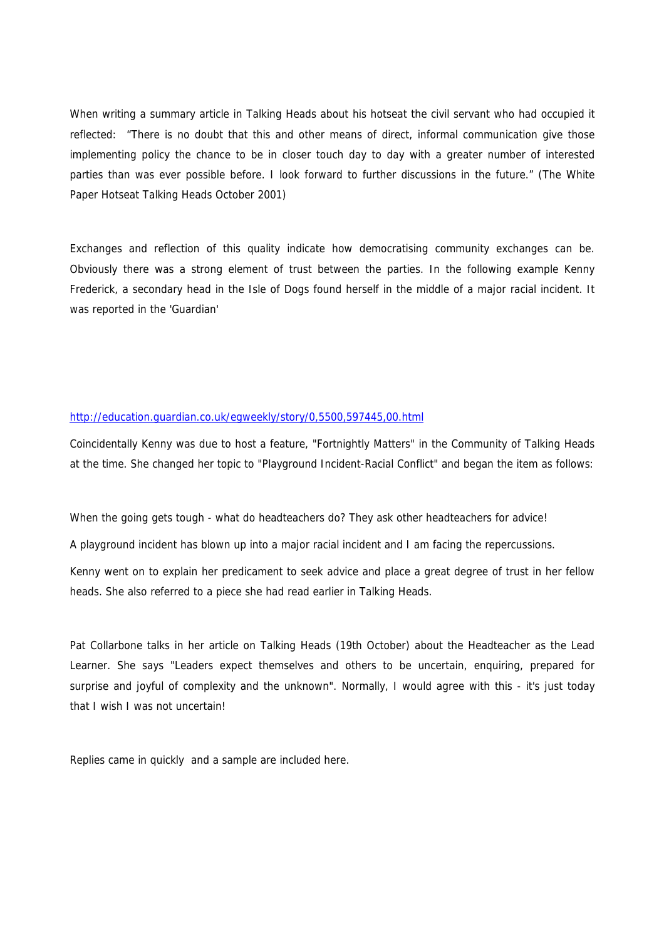When writing a summary article in Talking Heads about his hotseat the civil servant who had occupied it reflected: "*There is no doubt that this and other means of direct, informal communication give those implementing policy the chance to be in closer touch day to day with a greater number of interested parties than was ever possible before. I look forward to further discussions in the future."* (The White Paper Hotseat Talking Heads October 2001)

Exchanges and reflection of this quality indicate how democratising community exchanges can be. Obviously there was a strong element of trust between the parties. In the following example Kenny Frederick, a secondary head in the Isle of Dogs found herself in the middle of a major racial incident. It was reported in the 'Guardian'

#### http://education.guardian.co.uk/egweekly/story/0,5500,597445,00.html

Coincidentally Kenny was due to host a feature, "Fortnightly Matters" in the Community of Talking Heads at the time. She changed her topic to "Playground Incident-Racial Conflict" and began the item as follows:

*When the going gets tough - what do headteachers do? They ask other headteachers for advice! A playground incident has blown up into a major racial incident and I am facing the repercussions*.

Kenny went on to explain her predicament to seek advice and place a great degree of trust in her fellow heads. She also referred to a piece she had read earlier in Talking Heads.

*Pat Collarbone talks in her article on Talking Heads (19th October) about the Headteacher as the Lead Learner. She says "Leaders expect themselves and others to be uncertain, enquiring, prepared for surprise and joyful of complexity and the unknown". Normally, I would agree with this - it's just today that I wish I was not uncertain!*

Replies came in quickly and a sample are included here.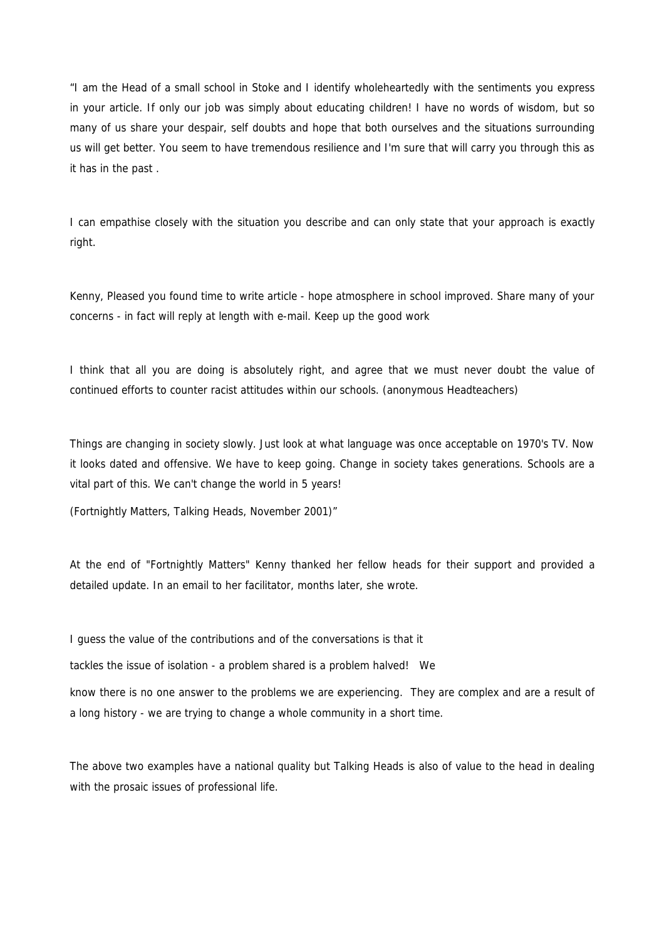*"I am the Head of a small school in Stoke and I identify wholeheartedly with the sentiments you express in your article. If only our job was simply about educating children! I have no words of wisdom, but so many of us share your despair, self doubts and hope that both ourselves and the situations surrounding us will get better. You seem to have tremendous resilience and I'm sure that will carry you through this as it has in the past* .

*I can empathise closely with the situation you describe and can only state that your approach is exactly right.*

*Kenny, Pleased you found time to write article - hope atmosphere in school improved. Share many of your concerns - in fact will reply at length with e-mail. Keep up the good work*

*I think that all you are doing is absolutely right, and agree that we must never doubt the value of continued efforts to counter racist attitudes within our schools.* (anonymous Headteachers)

*Things are changing in society slowly. Just look at what language was once acceptable on 1970's TV. Now it looks dated and offensive. We have to keep going. Change in society takes generations. Schools are a vital part of this. We can't change the world in 5 years!*

*(Fortnightly Matters, Talking Heads, November 2001)"*

At the end of "Fortnightly Matters" Kenny thanked her fellow heads for their support and provided a detailed update. In an email to her facilitator, months later, she wrote.

*I guess the value of the contributions and of the conversations is that it*

*tackles the issue of isolation - a problem shared is a problem halved! We*

*know there is no one answer to the problems we are experiencing. They are complex and are a result of a long history - we are trying to change a whole community in a short time*.

The above two examples have a national quality but Talking Heads is also of value to the head in dealing with the prosaic issues of professional life.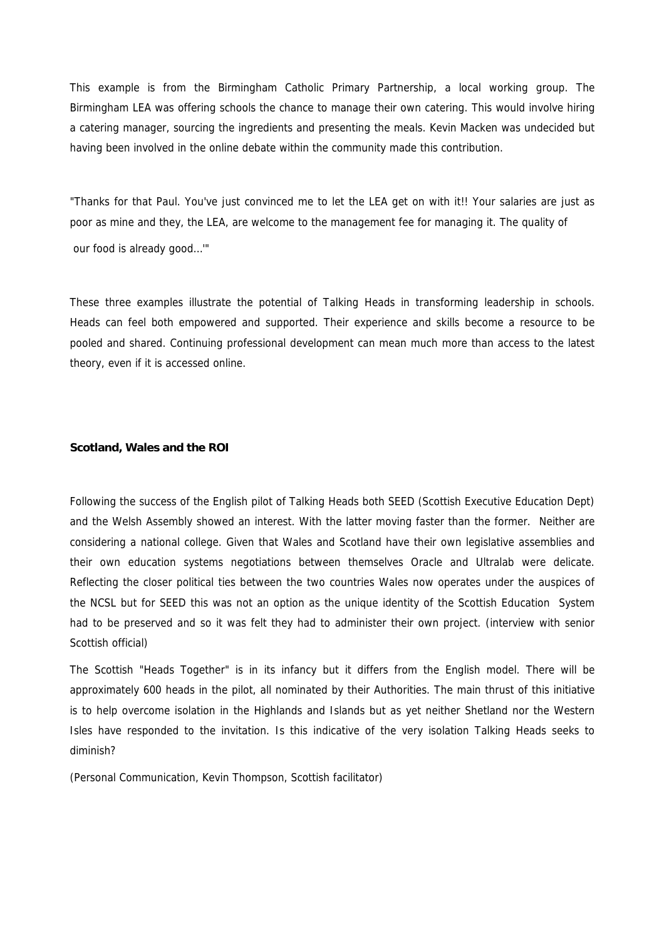This example is from the Birmingham Catholic Primary Partnership, a local working group. The Birmingham LEA was offering schools the chance to manage their own catering. This would involve hiring a catering manager, sourcing the ingredients and presenting the meals. Kevin Macken was undecided but having been involved in the online debate within the community made this contribution.

"Thanks for that Paul. You've just convinced me to let the LEA get on with it!! Your salaries are just as poor as mine and they, the LEA, are welcome to the management fee for managing it. The quality of our food is already good…'"

These three examples illustrate the potential of Talking Heads in transforming leadership in schools. Heads can feel both empowered and supported. Their experience and skills become a resource to be pooled and shared. Continuing professional development can mean much more than access to the latest theory, even if it is accessed online.

#### **Scotland, Wales and the ROI**

Following the success of the English pilot of Talking Heads both SEED (Scottish Executive Education Dept) and the Welsh Assembly showed an interest. With the latter moving faster than the former. Neither are considering a national college. Given that Wales and Scotland have their own legislative assemblies and their own education systems negotiations between themselves Oracle and Ultralab were delicate. Reflecting the closer political ties between the two countries Wales now operates under the auspices of the NCSL but for SEED this was not an option as the unique identity of the Scottish Education System had to be preserved and so it was felt they had to administer their own project. (interview with senior Scottish official)

The Scottish "Heads Together" is in its infancy but it differs from the English model. There will be approximately 600 heads in the pilot, all nominated by their Authorities. The main thrust of this initiative is to help overcome isolation in the Highlands and Islands but as yet neither Shetland nor the Western Isles have responded to the invitation. Is this indicative of the very isolation Talking Heads seeks to diminish?

(Personal Communication, Kevin Thompson, Scottish facilitator)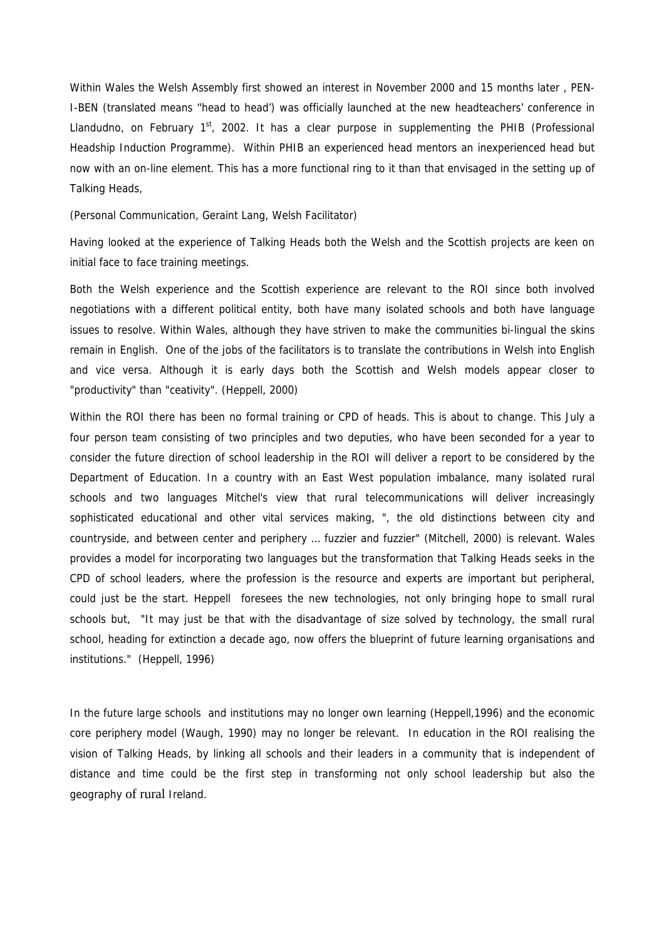Within Wales the Welsh Assembly first showed an interest in November 2000 and 15 months later , PEN-I-BEN (translated means ''head to head') was officially launched at the new headteachers' conference in Llandudno, on February  $1<sup>st</sup>$ , 2002. It has a clear purpose in supplementing the PHIB (Professional Headship Induction Programme). Within PHIB an experienced head mentors an inexperienced head but now with an on-line element. This has a more functional ring to it than that envisaged in the setting up of Talking Heads,

(Personal Communication, Geraint Lang, Welsh Facilitator)

Having looked at the experience of Talking Heads both the Welsh and the Scottish projects are keen on initial face to face training meetings.

Both the Welsh experience and the Scottish experience are relevant to the ROI since both involved negotiations with a different political entity, both have many isolated schools and both have language issues to resolve. Within Wales, although they have striven to make the communities bi-lingual the skins remain in English. One of the jobs of the facilitators is to translate the contributions in Welsh into English and vice versa. Although it is early days both the Scottish and Welsh models appear closer to "productivity" than "ceativity". (Heppell, 2000)

Within the ROI there has been no formal training or CPD of heads. This is about to change. This July a four person team consisting of two principles and two deputies, who have been seconded for a year to consider the future direction of school leadership in the ROI will deliver a report to be considered by the Department of Education. In a country with an East West population imbalance, many isolated rural schools and two languages Mitchel's view that rural telecommunications will deliver increasingly sophisticated educational and other vital services making, ", the old distinctions between city and countryside, and between center and periphery … fuzzier and fuzzier" (Mitchell, 2000) is relevant. Wales provides a model for incorporating two languages but the transformation that Talking Heads seeks in the CPD of school leaders, where the profession is the resource and experts are important but peripheral, could just be the start. Heppell foresees the new technologies, not only bringing hope to small rural schools but, *"It may just be that with the disadvantage of size solved by technology, the small rural school, heading for extinction a decade ago, now offers the blueprint of future learning organisations and institutions."* (Heppell, 1996)

In the future large schools and institutions may no longer own learning (Heppell,1996) and the economic core periphery model (Waugh, 1990) may no longer be relevant. In education in the ROI realising the vision of Talking Heads, by linking all schools and their leaders in a community that is independent of distance and time could be the first step in transforming not only school leadership but also the geography of rural Ireland.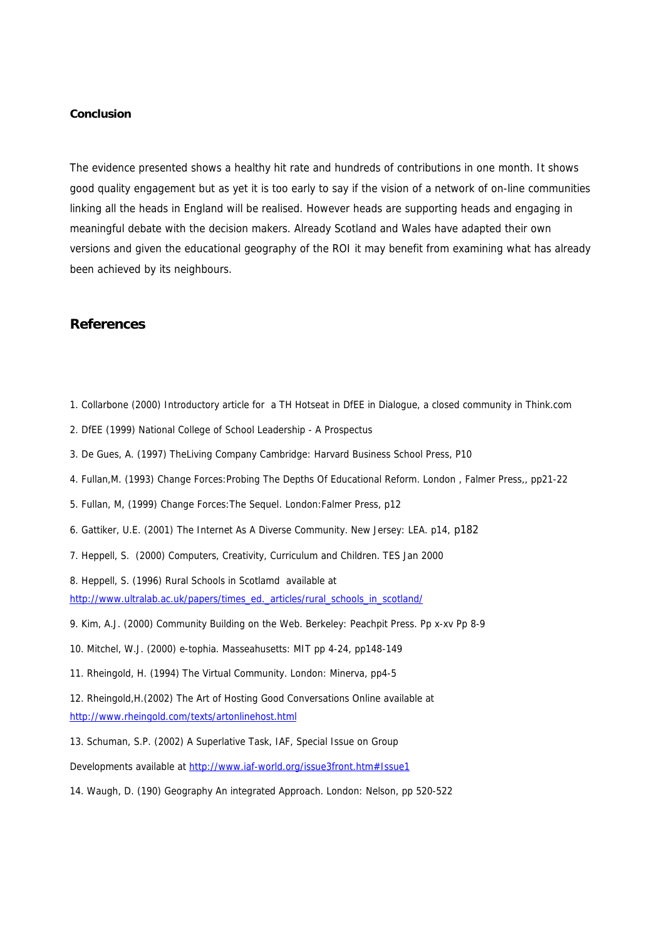#### **Conclusion**

The evidence presented shows a healthy hit rate and hundreds of contributions in one month. It shows good quality engagement but as yet it is too early to say if the vision of a network of on-line communities linking all the heads in England will be realised. However heads are supporting heads and engaging in meaningful debate with the decision makers. Already Scotland and Wales have adapted their own versions and given the educational geography of the ROI it may benefit from examining what has already been achieved by its neighbours.

# **References**

- 1. Collarbone (2000) Introductory article for a TH Hotseat in DfEE in Dialogue, a closed community in Think.com
- 2. DfEE (1999) *National College of School Leadership A Prospectus*
- 3. De Gues, A. (1997) *TheLiving Company* Cambridge: Harvard Business School Press, P10
- 4. Fullan,*M. (1993) Change Forces:Probing The Depths Of Educational Reform.* London , Falmer Press,, pp21-22
- 5. Fullan, M, (1999) *Change Forces:The Sequel*. London:Falmer Press, p12
- 6. Gattiker, U.E. (2001) *The Internet As A Diverse Community*. New Jersey: LEA. p14, p182
- 7. Heppell, S. (2000) *Computers, Creativity, Curriculum and Children*. TES Jan 2000

8. Heppell, S. (1996) *Rural Schools in Scotlamd* available at

http://www.ultralab.ac.uk/papers/times\_ed.\_articles/rural\_schools\_in\_scotland/

- 9. Kim, A.J. (2000) *Community Building on the Web.* Berkeley: Peachpit Press. Pp x-xv Pp 8-9
- 10. Mitchel, W.J. (2000) *e-tophia.* Masseahusetts: MIT pp 4-24, pp148-149
- 11. Rheingold, H. (1994) *The Virtual Community*. London: Minerva, pp4-5

12. Rheingold,H.(2002) The Art of Hosting Good Conversations Online available at http://www.rheingold.com/texts/artonlinehost.html

13. Schuman, S.P. (2002) *A Superlative Task*, IAF, Special Issue on Group

Developments available at http://www.iaf-world.org/issue3front.htm#Issue1

14. Waugh, D. (190) *Geography An integrated Approach.* London: Nelson, pp 520-522